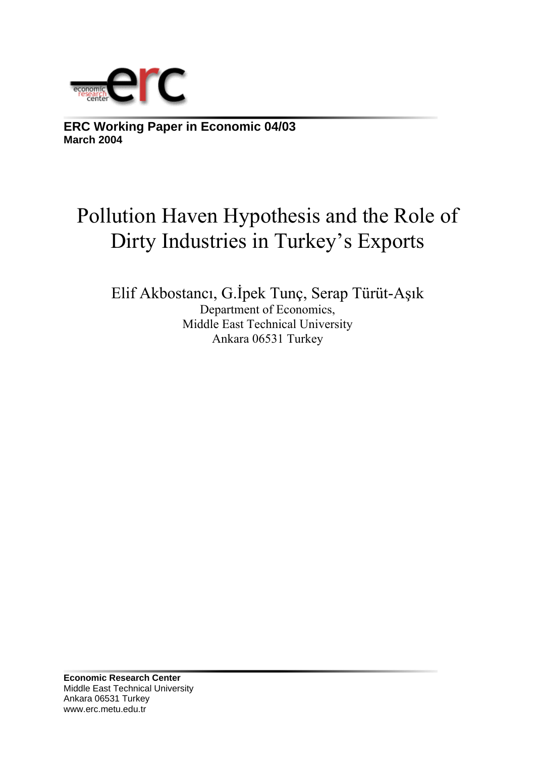

**ERC Working Paper in Economic 04/03 March 2004**

# Pollution Haven Hypothesis and the Role of Dirty Industries in Turkey's Exports

Elif Akbostancı, G.İpek Tunç, Serap Türüt-Aşık Department of Economics, Middle East Technical University Ankara 06531 Turkey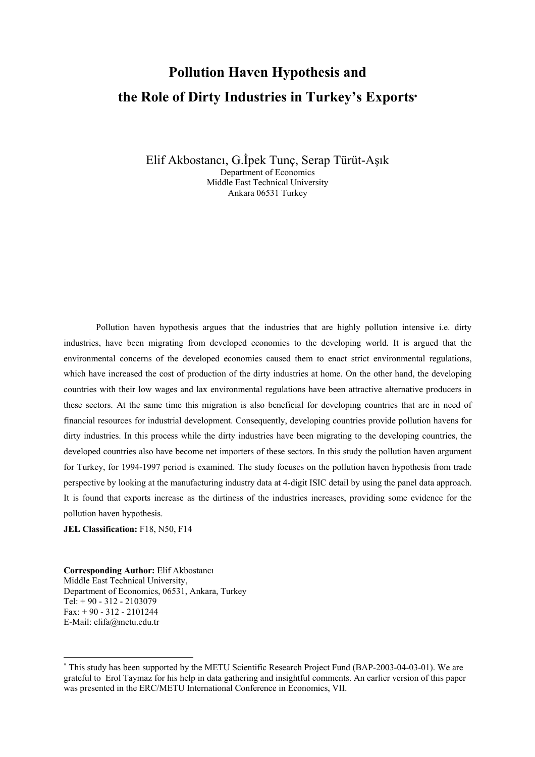## **Pollution Haven Hypothesis and the Role of Dirty Industries in Turkey's Exports**<sup>∗</sup>

Elif Akbostancı, G.İpek Tunç, Serap Türüt-Aşık Department of Economics Middle East Technical University Ankara 06531 Turkey

 Pollution haven hypothesis argues that the industries that are highly pollution intensive i.e. dirty industries, have been migrating from developed economies to the developing world. It is argued that the environmental concerns of the developed economies caused them to enact strict environmental regulations, which have increased the cost of production of the dirty industries at home. On the other hand, the developing countries with their low wages and lax environmental regulations have been attractive alternative producers in these sectors. At the same time this migration is also beneficial for developing countries that are in need of financial resources for industrial development. Consequently, developing countries provide pollution havens for dirty industries. In this process while the dirty industries have been migrating to the developing countries, the developed countries also have become net importers of these sectors. In this study the pollution haven argument for Turkey, for 1994-1997 period is examined. The study focuses on the pollution haven hypothesis from trade perspective by looking at the manufacturing industry data at 4-digit ISIC detail by using the panel data approach. It is found that exports increase as the dirtiness of the industries increases, providing some evidence for the pollution haven hypothesis.

**JEL Classification:** F18, N50, F14

1

**Corresponding Author:** Elif Akbostancı Middle East Technical University, Department of Economics, 06531, Ankara, Turkey Tel: + 90 - 312 - 2103079 Fax: + 90 - 312 - 2101244 E-Mail: elifa@metu.edu.tr

<sup>∗</sup> This study has been supported by the METU Scientific Research Project Fund (BAP-2003-04-03-01). We are grateful to Erol Taymaz for his help in data gathering and insightful comments. An earlier version of this paper was presented in the ERC/METU International Conference in Economics, VII.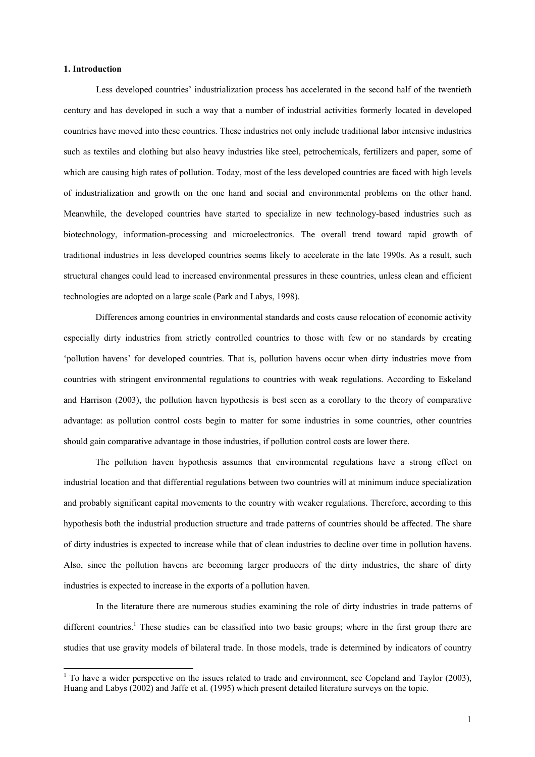#### **1. Introduction**

-

 Less developed countries' industrialization process has accelerated in the second half of the twentieth century and has developed in such a way that a number of industrial activities formerly located in developed countries have moved into these countries. These industries not only include traditional labor intensive industries such as textiles and clothing but also heavy industries like steel, petrochemicals, fertilizers and paper, some of which are causing high rates of pollution. Today, most of the less developed countries are faced with high levels of industrialization and growth on the one hand and social and environmental problems on the other hand. Meanwhile, the developed countries have started to specialize in new technology-based industries such as biotechnology, information-processing and microelectronics. The overall trend toward rapid growth of traditional industries in less developed countries seems likely to accelerate in the late 1990s. As a result, such structural changes could lead to increased environmental pressures in these countries, unless clean and efficient technologies are adopted on a large scale (Park and Labys, 1998).

Differences among countries in environmental standards and costs cause relocation of economic activity especially dirty industries from strictly controlled countries to those with few or no standards by creating 'pollution havens' for developed countries. That is, pollution havens occur when dirty industries move from countries with stringent environmental regulations to countries with weak regulations. According to Eskeland and Harrison (2003), the pollution haven hypothesis is best seen as a corollary to the theory of comparative advantage: as pollution control costs begin to matter for some industries in some countries, other countries should gain comparative advantage in those industries, if pollution control costs are lower there.

The pollution haven hypothesis assumes that environmental regulations have a strong effect on industrial location and that differential regulations between two countries will at minimum induce specialization and probably significant capital movements to the country with weaker regulations. Therefore, according to this hypothesis both the industrial production structure and trade patterns of countries should be affected. The share of dirty industries is expected to increase while that of clean industries to decline over time in pollution havens. Also, since the pollution havens are becoming larger producers of the dirty industries, the share of dirty industries is expected to increase in the exports of a pollution haven.

 In the literature there are numerous studies examining the role of dirty industries in trade patterns of different countries.<sup>1</sup> These studies can be classified into two basic groups; where in the first group there are studies that use gravity models of bilateral trade. In those models, trade is determined by indicators of country

 $1$  To have a wider perspective on the issues related to trade and environment, see Copeland and Taylor (2003), Huang and Labys (2002) and Jaffe et al. (1995) which present detailed literature surveys on the topic.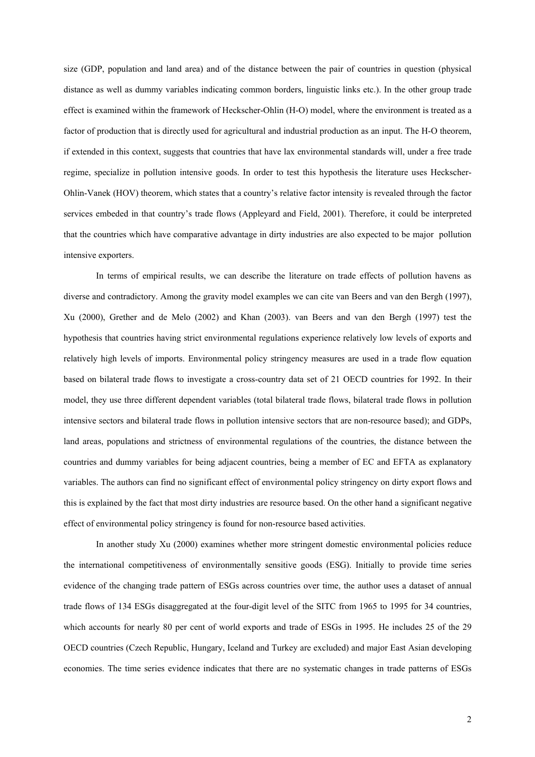size (GDP, population and land area) and of the distance between the pair of countries in question (physical distance as well as dummy variables indicating common borders, linguistic links etc.). In the other group trade effect is examined within the framework of Heckscher-Ohlin (H-O) model, where the environment is treated as a factor of production that is directly used for agricultural and industrial production as an input. The H-O theorem, if extended in this context, suggests that countries that have lax environmental standards will, under a free trade regime, specialize in pollution intensive goods. In order to test this hypothesis the literature uses Heckscher-Ohlin-Vanek (HOV) theorem, which states that a country's relative factor intensity is revealed through the factor services embeded in that country's trade flows (Appleyard and Field, 2001). Therefore, it could be interpreted that the countries which have comparative advantage in dirty industries are also expected to be major pollution intensive exporters.

 In terms of empirical results, we can describe the literature on trade effects of pollution havens as diverse and contradictory. Among the gravity model examples we can cite van Beers and van den Bergh (1997), Xu (2000), Grether and de Melo (2002) and Khan (2003). van Beers and van den Bergh (1997) test the hypothesis that countries having strict environmental regulations experience relatively low levels of exports and relatively high levels of imports. Environmental policy stringency measures are used in a trade flow equation based on bilateral trade flows to investigate a cross-country data set of 21 OECD countries for 1992. In their model, they use three different dependent variables (total bilateral trade flows, bilateral trade flows in pollution intensive sectors and bilateral trade flows in pollution intensive sectors that are non-resource based); and GDPs, land areas, populations and strictness of environmental regulations of the countries, the distance between the countries and dummy variables for being adjacent countries, being a member of EC and EFTA as explanatory variables. The authors can find no significant effect of environmental policy stringency on dirty export flows and this is explained by the fact that most dirty industries are resource based. On the other hand a significant negative effect of environmental policy stringency is found for non-resource based activities.

 In another study Xu (2000) examines whether more stringent domestic environmental policies reduce the international competitiveness of environmentally sensitive goods (ESG). Initially to provide time series evidence of the changing trade pattern of ESGs across countries over time, the author uses a dataset of annual trade flows of 134 ESGs disaggregated at the four-digit level of the SITC from 1965 to 1995 for 34 countries, which accounts for nearly 80 per cent of world exports and trade of ESGs in 1995. He includes 25 of the 29 OECD countries (Czech Republic, Hungary, Iceland and Turkey are excluded) and major East Asian developing economies. The time series evidence indicates that there are no systematic changes in trade patterns of ESGs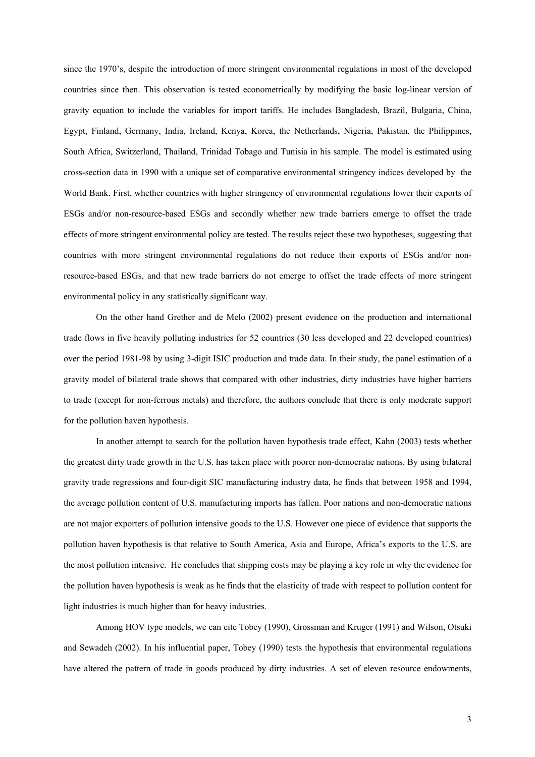since the 1970's, despite the introduction of more stringent environmental regulations in most of the developed countries since then. This observation is tested econometrically by modifying the basic log-linear version of gravity equation to include the variables for import tariffs. He includes Bangladesh, Brazil, Bulgaria, China, Egypt, Finland, Germany, India, Ireland, Kenya, Korea, the Netherlands, Nigeria, Pakistan, the Philippines, South Africa, Switzerland, Thailand, Trinidad Tobago and Tunisia in his sample. The model is estimated using cross-section data in 1990 with a unique set of comparative environmental stringency indices developed by the World Bank. First, whether countries with higher stringency of environmental regulations lower their exports of ESGs and/or non-resource-based ESGs and secondly whether new trade barriers emerge to offset the trade effects of more stringent environmental policy are tested. The results reject these two hypotheses, suggesting that countries with more stringent environmental regulations do not reduce their exports of ESGs and/or nonresource-based ESGs, and that new trade barriers do not emerge to offset the trade effects of more stringent environmental policy in any statistically significant way.

 On the other hand Grether and de Melo (2002) present evidence on the production and international trade flows in five heavily polluting industries for 52 countries (30 less developed and 22 developed countries) over the period 1981-98 by using 3-digit ISIC production and trade data. In their study, the panel estimation of a gravity model of bilateral trade shows that compared with other industries, dirty industries have higher barriers to trade (except for non-ferrous metals) and therefore, the authors conclude that there is only moderate support for the pollution haven hypothesis.

 In another attempt to search for the pollution haven hypothesis trade effect, Kahn (2003) tests whether the greatest dirty trade growth in the U.S. has taken place with poorer non-democratic nations. By using bilateral gravity trade regressions and four-digit SIC manufacturing industry data, he finds that between 1958 and 1994, the average pollution content of U.S. manufacturing imports has fallen. Poor nations and non-democratic nations are not major exporters of pollution intensive goods to the U.S. However one piece of evidence that supports the pollution haven hypothesis is that relative to South America, Asia and Europe, Africa's exports to the U.S. are the most pollution intensive. He concludes that shipping costs may be playing a key role in why the evidence for the pollution haven hypothesis is weak as he finds that the elasticity of trade with respect to pollution content for light industries is much higher than for heavy industries.

 Among HOV type models, we can cite Tobey (1990), Grossman and Kruger (1991) and Wilson, Otsuki and Sewadeh (2002). In his influential paper, Tobey (1990) tests the hypothesis that environmental regulations have altered the pattern of trade in goods produced by dirty industries. A set of eleven resource endowments,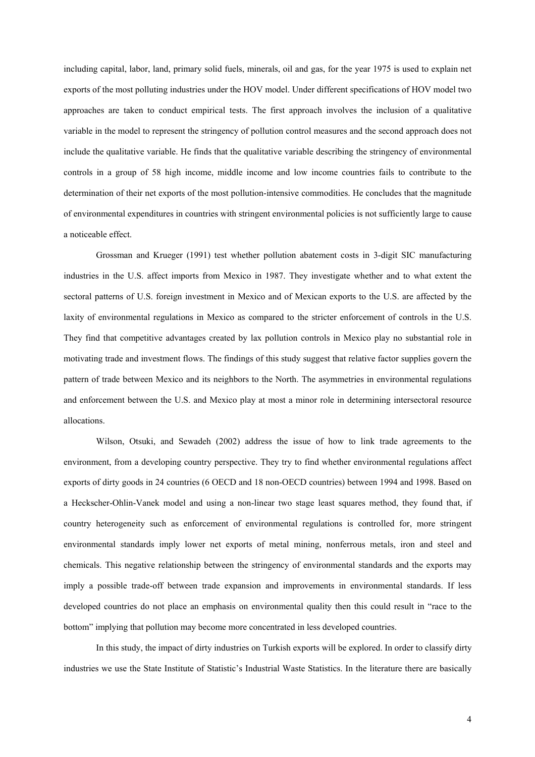including capital, labor, land, primary solid fuels, minerals, oil and gas, for the year 1975 is used to explain net exports of the most polluting industries under the HOV model. Under different specifications of HOV model two approaches are taken to conduct empirical tests. The first approach involves the inclusion of a qualitative variable in the model to represent the stringency of pollution control measures and the second approach does not include the qualitative variable. He finds that the qualitative variable describing the stringency of environmental controls in a group of 58 high income, middle income and low income countries fails to contribute to the determination of their net exports of the most pollution-intensive commodities. He concludes that the magnitude of environmental expenditures in countries with stringent environmental policies is not sufficiently large to cause a noticeable effect.

 Grossman and Krueger (1991) test whether pollution abatement costs in 3-digit SIC manufacturing industries in the U.S. affect imports from Mexico in 1987. They investigate whether and to what extent the sectoral patterns of U.S. foreign investment in Mexico and of Mexican exports to the U.S. are affected by the laxity of environmental regulations in Mexico as compared to the stricter enforcement of controls in the U.S. They find that competitive advantages created by lax pollution controls in Mexico play no substantial role in motivating trade and investment flows. The findings of this study suggest that relative factor supplies govern the pattern of trade between Mexico and its neighbors to the North. The asymmetries in environmental regulations and enforcement between the U.S. and Mexico play at most a minor role in determining intersectoral resource allocations.

 Wilson, Otsuki, and Sewadeh (2002) address the issue of how to link trade agreements to the environment, from a developing country perspective. They try to find whether environmental regulations affect exports of dirty goods in 24 countries (6 OECD and 18 non-OECD countries) between 1994 and 1998. Based on a Heckscher-Ohlin-Vanek model and using a non-linear two stage least squares method, they found that, if country heterogeneity such as enforcement of environmental regulations is controlled for, more stringent environmental standards imply lower net exports of metal mining, nonferrous metals, iron and steel and chemicals. This negative relationship between the stringency of environmental standards and the exports may imply a possible trade-off between trade expansion and improvements in environmental standards. If less developed countries do not place an emphasis on environmental quality then this could result in "race to the bottom" implying that pollution may become more concentrated in less developed countries.

 In this study, the impact of dirty industries on Turkish exports will be explored. In order to classify dirty industries we use the State Institute of Statistic's Industrial Waste Statistics. In the literature there are basically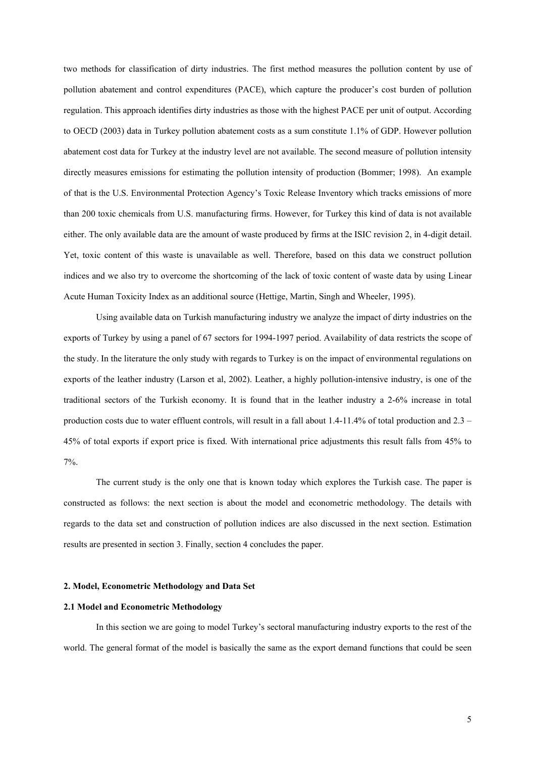two methods for classification of dirty industries. The first method measures the pollution content by use of pollution abatement and control expenditures (PACE), which capture the producer's cost burden of pollution regulation. This approach identifies dirty industries as those with the highest PACE per unit of output. According to OECD (2003) data in Turkey pollution abatement costs as a sum constitute 1.1% of GDP. However pollution abatement cost data for Turkey at the industry level are not available. The second measure of pollution intensity directly measures emissions for estimating the pollution intensity of production (Bommer; 1998). An example of that is the U.S. Environmental Protection Agency's Toxic Release Inventory which tracks emissions of more than 200 toxic chemicals from U.S. manufacturing firms. However, for Turkey this kind of data is not available either. The only available data are the amount of waste produced by firms at the ISIC revision 2, in 4-digit detail. Yet, toxic content of this waste is unavailable as well. Therefore, based on this data we construct pollution indices and we also try to overcome the shortcoming of the lack of toxic content of waste data by using Linear Acute Human Toxicity Index as an additional source (Hettige, Martin, Singh and Wheeler, 1995).

 Using available data on Turkish manufacturing industry we analyze the impact of dirty industries on the exports of Turkey by using a panel of 67 sectors for 1994-1997 period. Availability of data restricts the scope of the study. In the literature the only study with regards to Turkey is on the impact of environmental regulations on exports of the leather industry (Larson et al, 2002). Leather, a highly pollution-intensive industry, is one of the traditional sectors of the Turkish economy. It is found that in the leather industry a 2-6% increase in total production costs due to water effluent controls, will result in a fall about 1.4-11.4% of total production and 2.3 – 45% of total exports if export price is fixed. With international price adjustments this result falls from 45% to 7%.

 The current study is the only one that is known today which explores the Turkish case. The paper is constructed as follows: the next section is about the model and econometric methodology. The details with regards to the data set and construction of pollution indices are also discussed in the next section. Estimation results are presented in section 3. Finally, section 4 concludes the paper.

#### **2. Model, Econometric Methodology and Data Set**

#### **2.1 Model and Econometric Methodology**

 In this section we are going to model Turkey's sectoral manufacturing industry exports to the rest of the world. The general format of the model is basically the same as the export demand functions that could be seen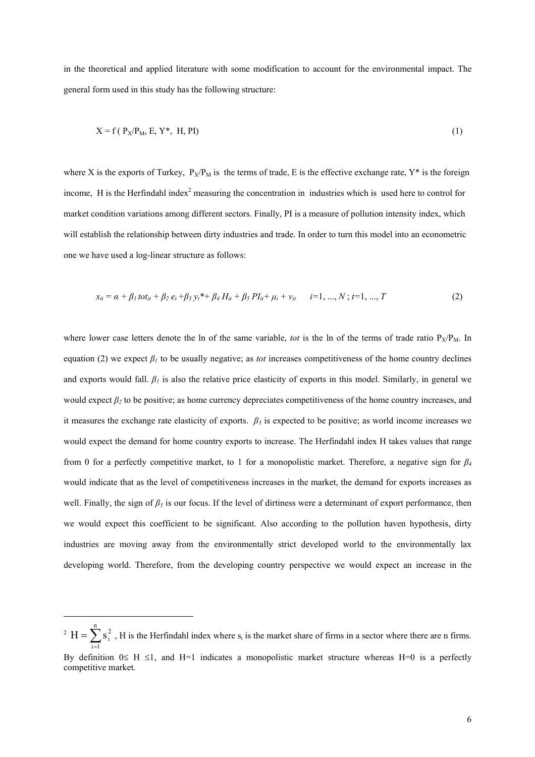in the theoretical and applied literature with some modification to account for the environmental impact. The general form used in this study has the following structure:

$$
X = f(P_X/P_M, E, Y^*, H, PI)
$$
\n
$$
(1)
$$

where X is the exports of Turkey,  $P_X/P_M$  is the terms of trade, E is the effective exchange rate,  $Y^*$  is the foreign income, H is the Herfindahl index<sup>2</sup> measuring the concentration in industries which is used here to control for market condition variations among different sectors. Finally, PI is a measure of pollution intensity index, which will establish the relationship between dirty industries and trade. In order to turn this model into an econometric one we have used a log-linear structure as follows:

$$
x_{it} = \alpha + \beta_1 \cot_{it} + \beta_2 e_t + \beta_3 y_t^* + \beta_4 H_{it} + \beta_5 P I_{it} + \mu_i + v_{it} \qquad i = 1, ..., N; t = 1, ..., T
$$
 (2)

where lower case letters denote the ln of the same variable, *tot* is the ln of the terms of trade ratio  $P_X/P_M$ . In equation (2) we expect  $\beta_I$  to be usually negative; as *tot* increases competitiveness of the home country declines and exports would fall.  $\beta_l$  is also the relative price elasticity of exports in this model. Similarly, in general we would expect  $\beta_2$  to be positive; as home currency depreciates competitiveness of the home country increases, and it measures the exchange rate elasticity of exports.  $β<sub>3</sub>$  is expected to be positive; as world income increases we would expect the demand for home country exports to increase. The Herfindahl index H takes values that range from 0 for a perfectly competitive market, to 1 for a monopolistic market. Therefore, a negative sign for *β<sup>4</sup>* would indicate that as the level of competitiveness increases in the market, the demand for exports increases as well. Finally, the sign of  $\beta_5$  is our focus. If the level of dirtiness were a determinant of export performance, then we would expect this coefficient to be significant. Also according to the pollution haven hypothesis, dirty industries are moving away from the environmentally strict developed world to the environmentally lax developing world. Therefore, from the developing country perspective we would expect an increase in the

 $\overline{\phantom{a}}$ 

<sup>&</sup>lt;sup>2</sup> H =  $\sum_{i=1}^{n}$  $i = 1$  $H = \sum s_i^2$ , H is the Herfindahl index where  $s_i$  is the market share of firms in a sector where there are n firms. By definition  $0 \leq H \leq 1$ , and H=1 indicates a monopolistic market structure whereas H=0 is a perfectly

competitive market.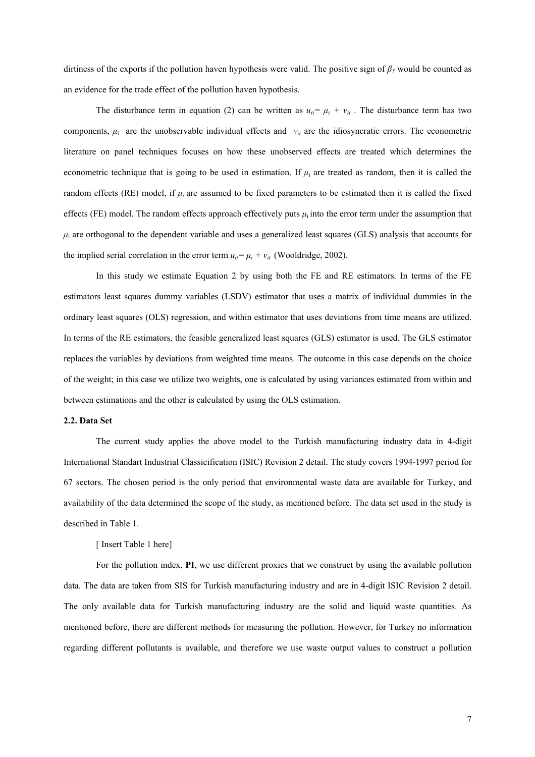dirtiness of the exports if the pollution haven hypothesis were valid. The positive sign of  $\beta_5$  would be counted as an evidence for the trade effect of the pollution haven hypothesis.

The disturbance term in equation (2) can be written as  $u_{ii} = \mu_i + v_{ii}$ . The disturbance term has two components,  $\mu_i$  are the unobservable individual effects and  $\nu_i$  are the idiosyncratic errors. The econometric literature on panel techniques focuses on how these unobserved effects are treated which determines the econometric technique that is going to be used in estimation. If  $\mu_i$  are treated as random, then it is called the random effects (RE) model, if  $\mu_i$  are assumed to be fixed parameters to be estimated then it is called the fixed effects (FE) model. The random effects approach effectively puts  $\mu_i$  into the error term under the assumption that  $\mu_i$  are orthogonal to the dependent variable and uses a generalized least squares (GLS) analysis that accounts for the implied serial correlation in the error term  $u_{ii} = \mu_i + v_{ii}$  (Wooldridge, 2002).

 In this study we estimate Equation 2 by using both the FE and RE estimators. In terms of the FE estimators least squares dummy variables (LSDV) estimator that uses a matrix of individual dummies in the ordinary least squares (OLS) regression, and within estimator that uses deviations from time means are utilized. In terms of the RE estimators, the feasible generalized least squares (GLS) estimator is used. The GLS estimator replaces the variables by deviations from weighted time means. The outcome in this case depends on the choice of the weight; in this case we utilize two weights, one is calculated by using variances estimated from within and between estimations and the other is calculated by using the OLS estimation.

#### **2.2. Data Set**

 The current study applies the above model to the Turkish manufacturing industry data in 4-digit International Standart Industrial Classicification (ISIC) Revision 2 detail. The study covers 1994-1997 period for 67 sectors. The chosen period is the only period that environmental waste data are available for Turkey, and availability of the data determined the scope of the study, as mentioned before. The data set used in the study is described in Table 1.

[ Insert Table 1 here]

 For the pollution index, **PI**, we use different proxies that we construct by using the available pollution data. The data are taken from SIS for Turkish manufacturing industry and are in 4-digit ISIC Revision 2 detail. The only available data for Turkish manufacturing industry are the solid and liquid waste quantities. As mentioned before, there are different methods for measuring the pollution. However, for Turkey no information regarding different pollutants is available, and therefore we use waste output values to construct a pollution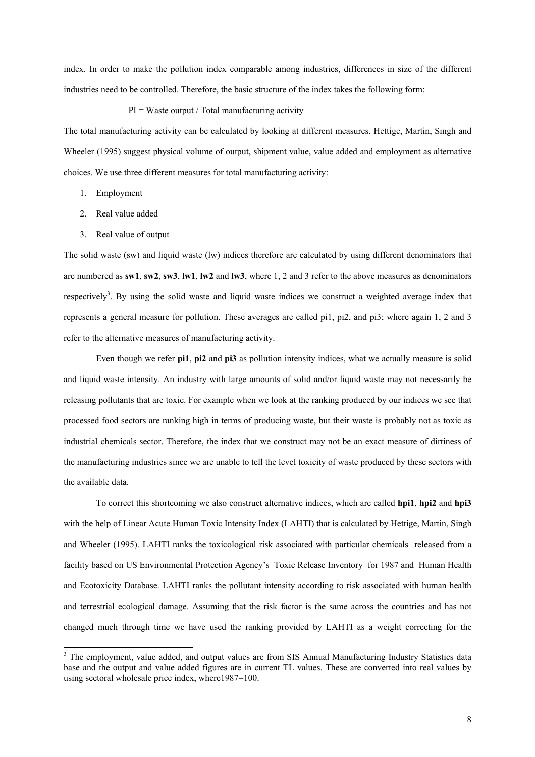index. In order to make the pollution index comparable among industries, differences in size of the different industries need to be controlled. Therefore, the basic structure of the index takes the following form:

#### $PI = W$ aste output / Total manufacturing activity

The total manufacturing activity can be calculated by looking at different measures. Hettige, Martin, Singh and Wheeler (1995) suggest physical volume of output, shipment value, value added and employment as alternative choices. We use three different measures for total manufacturing activity:

1. Employment

-

- 2. Real value added
- 3. Real value of output

The solid waste (sw) and liquid waste (lw) indices therefore are calculated by using different denominators that are numbered as **sw1**, **sw2**, **sw3**, **lw1**, **lw2** and **lw3**, where 1, 2 and 3 refer to the above measures as denominators respectively<sup>3</sup>. By using the solid waste and liquid waste indices we construct a weighted average index that represents a general measure for pollution. These averages are called pi1, pi2, and pi3; where again 1, 2 and 3 refer to the alternative measures of manufacturing activity.

 Even though we refer **pi1**, **pi2** and **pi3** as pollution intensity indices, what we actually measure is solid and liquid waste intensity. An industry with large amounts of solid and/or liquid waste may not necessarily be releasing pollutants that are toxic. For example when we look at the ranking produced by our indices we see that processed food sectors are ranking high in terms of producing waste, but their waste is probably not as toxic as industrial chemicals sector. Therefore, the index that we construct may not be an exact measure of dirtiness of the manufacturing industries since we are unable to tell the level toxicity of waste produced by these sectors with the available data.

 To correct this shortcoming we also construct alternative indices, which are called **hpi1**, **hpi2** and **hpi3** with the help of Linear Acute Human Toxic Intensity Index (LAHTI) that is calculated by Hettige, Martin, Singh and Wheeler (1995). LAHTI ranks the toxicological risk associated with particular chemicals released from a facility based on US Environmental Protection Agency's Toxic Release Inventory for 1987 and Human Health and Ecotoxicity Database. LAHTI ranks the pollutant intensity according to risk associated with human health and terrestrial ecological damage. Assuming that the risk factor is the same across the countries and has not changed much through time we have used the ranking provided by LAHTI as a weight correcting for the

<sup>&</sup>lt;sup>3</sup> The employment, value added, and output values are from SIS Annual Manufacturing Industry Statistics data base and the output and value added figures are in current TL values. These are converted into real values by using sectoral wholesale price index, where1987=100.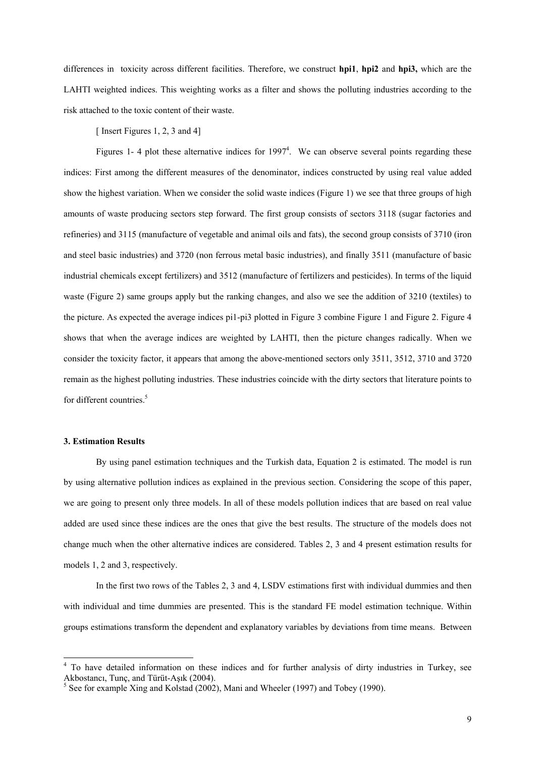differences in toxicity across different facilities. Therefore, we construct **hpi1**, **hpi2** and **hpi3,** which are the LAHTI weighted indices. This weighting works as a filter and shows the polluting industries according to the risk attached to the toxic content of their waste.

#### [ Insert Figures 1, 2, 3 and 4]

Figures 1-4 plot these alternative indices for  $1997<sup>4</sup>$ . We can observe several points regarding these indices: First among the different measures of the denominator, indices constructed by using real value added show the highest variation. When we consider the solid waste indices (Figure 1) we see that three groups of high amounts of waste producing sectors step forward. The first group consists of sectors 3118 (sugar factories and refineries) and 3115 (manufacture of vegetable and animal oils and fats), the second group consists of 3710 (iron and steel basic industries) and 3720 (non ferrous metal basic industries), and finally 3511 (manufacture of basic industrial chemicals except fertilizers) and 3512 (manufacture of fertilizers and pesticides). In terms of the liquid waste (Figure 2) same groups apply but the ranking changes, and also we see the addition of 3210 (textiles) to the picture. As expected the average indices pi1-pi3 plotted in Figure 3 combine Figure 1 and Figure 2. Figure 4 shows that when the average indices are weighted by LAHTI, then the picture changes radically. When we consider the toxicity factor, it appears that among the above-mentioned sectors only 3511, 3512, 3710 and 3720 remain as the highest polluting industries. These industries coincide with the dirty sectors that literature points to for different countries.<sup>5</sup>

#### **3. Estimation Results**

 $\overline{\phantom{a}}$ 

By using panel estimation techniques and the Turkish data, Equation 2 is estimated. The model is run by using alternative pollution indices as explained in the previous section. Considering the scope of this paper, we are going to present only three models. In all of these models pollution indices that are based on real value added are used since these indices are the ones that give the best results. The structure of the models does not change much when the other alternative indices are considered. Tables 2, 3 and 4 present estimation results for models 1, 2 and 3, respectively.

In the first two rows of the Tables 2, 3 and 4, LSDV estimations first with individual dummies and then with individual and time dummies are presented. This is the standard FE model estimation technique. Within groups estimations transform the dependent and explanatory variables by deviations from time means. Between

<sup>&</sup>lt;sup>4</sup> To have detailed information on these indices and for further analysis of dirty industries in Turkey, see Akbostancı, Tunc, and Türüt-Asık (2004).

 $5$  See for example Xing and Kolstad (2002), Mani and Wheeler (1997) and Tobey (1990).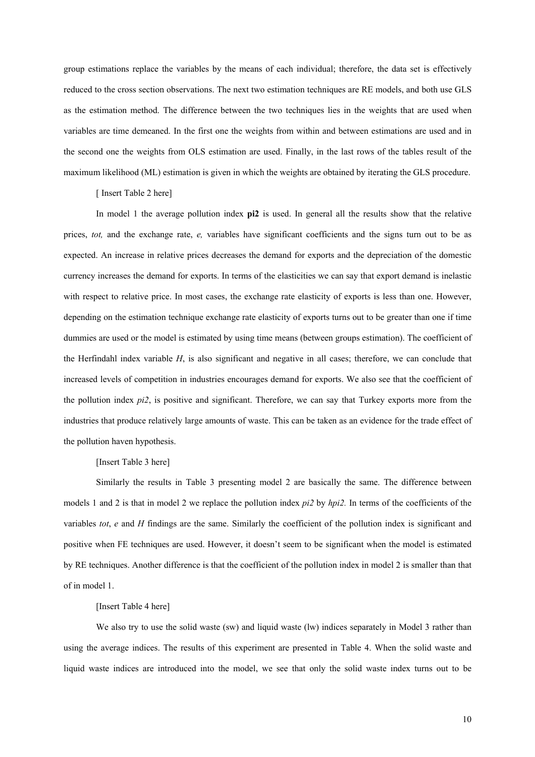group estimations replace the variables by the means of each individual; therefore, the data set is effectively reduced to the cross section observations. The next two estimation techniques are RE models, and both use GLS as the estimation method. The difference between the two techniques lies in the weights that are used when variables are time demeaned. In the first one the weights from within and between estimations are used and in the second one the weights from OLS estimation are used. Finally, in the last rows of the tables result of the maximum likelihood (ML) estimation is given in which the weights are obtained by iterating the GLS procedure.

#### [ Insert Table 2 here]

In model 1 the average pollution index **pi2** is used. In general all the results show that the relative prices, *tot,* and the exchange rate, *e,* variables have significant coefficients and the signs turn out to be as expected. An increase in relative prices decreases the demand for exports and the depreciation of the domestic currency increases the demand for exports. In terms of the elasticities we can say that export demand is inelastic with respect to relative price. In most cases, the exchange rate elasticity of exports is less than one. However, depending on the estimation technique exchange rate elasticity of exports turns out to be greater than one if time dummies are used or the model is estimated by using time means (between groups estimation). The coefficient of the Herfindahl index variable *H*, is also significant and negative in all cases; therefore, we can conclude that increased levels of competition in industries encourages demand for exports. We also see that the coefficient of the pollution index *pi2*, is positive and significant. Therefore, we can say that Turkey exports more from the industries that produce relatively large amounts of waste. This can be taken as an evidence for the trade effect of the pollution haven hypothesis.

#### [Insert Table 3 here]

 Similarly the results in Table 3 presenting model 2 are basically the same. The difference between models 1 and 2 is that in model 2 we replace the pollution index *pi2* by *hpi2.* In terms of the coefficients of the variables *tot*, *e* and *H* findings are the same. Similarly the coefficient of the pollution index is significant and positive when FE techniques are used. However, it doesn't seem to be significant when the model is estimated by RE techniques. Another difference is that the coefficient of the pollution index in model 2 is smaller than that of in model 1.

#### [Insert Table 4 here]

We also try to use the solid waste (sw) and liquid waste (lw) indices separately in Model 3 rather than using the average indices. The results of this experiment are presented in Table 4. When the solid waste and liquid waste indices are introduced into the model, we see that only the solid waste index turns out to be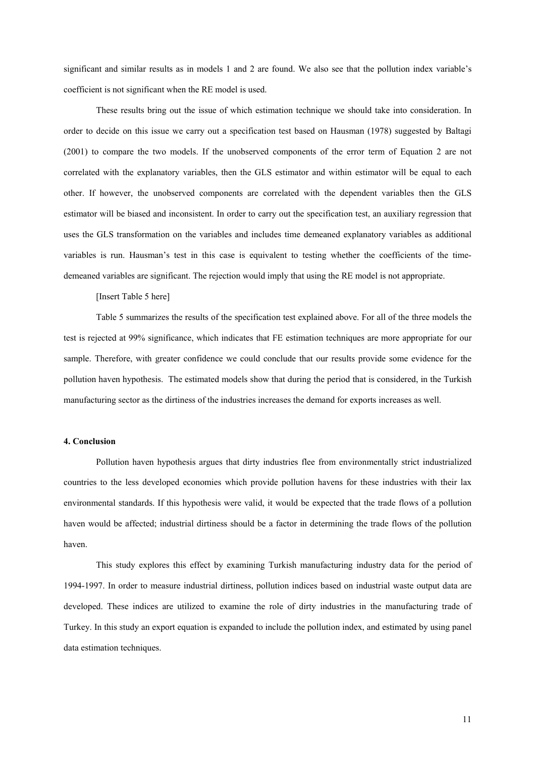significant and similar results as in models 1 and 2 are found. We also see that the pollution index variable's coefficient is not significant when the RE model is used.

 These results bring out the issue of which estimation technique we should take into consideration. In order to decide on this issue we carry out a specification test based on Hausman (1978) suggested by Baltagi (2001) to compare the two models. If the unobserved components of the error term of Equation 2 are not correlated with the explanatory variables, then the GLS estimator and within estimator will be equal to each other. If however, the unobserved components are correlated with the dependent variables then the GLS estimator will be biased and inconsistent. In order to carry out the specification test, an auxiliary regression that uses the GLS transformation on the variables and includes time demeaned explanatory variables as additional variables is run. Hausman's test in this case is equivalent to testing whether the coefficients of the timedemeaned variables are significant. The rejection would imply that using the RE model is not appropriate.

[Insert Table 5 here]

Table 5 summarizes the results of the specification test explained above. For all of the three models the test is rejected at 99% significance, which indicates that FE estimation techniques are more appropriate for our sample. Therefore, with greater confidence we could conclude that our results provide some evidence for the pollution haven hypothesis. The estimated models show that during the period that is considered, in the Turkish manufacturing sector as the dirtiness of the industries increases the demand for exports increases as well.

#### **4. Conclusion**

Pollution haven hypothesis argues that dirty industries flee from environmentally strict industrialized countries to the less developed economies which provide pollution havens for these industries with their lax environmental standards. If this hypothesis were valid, it would be expected that the trade flows of a pollution haven would be affected; industrial dirtiness should be a factor in determining the trade flows of the pollution haven.

 This study explores this effect by examining Turkish manufacturing industry data for the period of 1994-1997. In order to measure industrial dirtiness, pollution indices based on industrial waste output data are developed. These indices are utilized to examine the role of dirty industries in the manufacturing trade of Turkey. In this study an export equation is expanded to include the pollution index, and estimated by using panel data estimation techniques.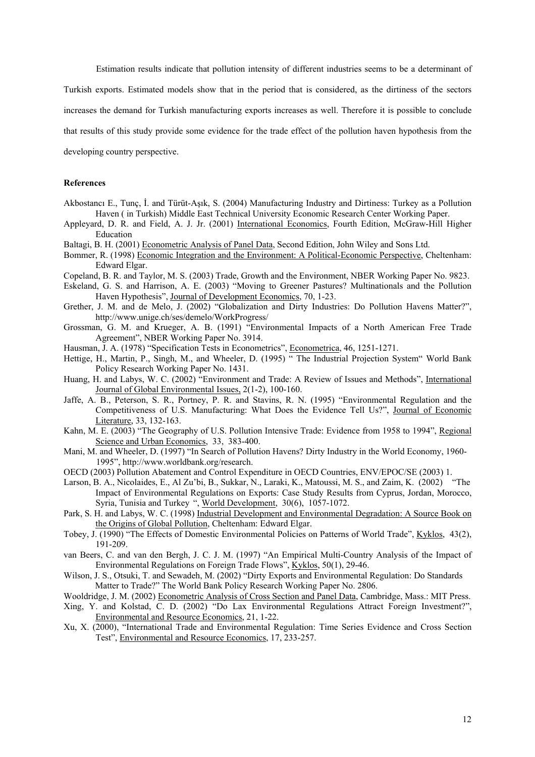Estimation results indicate that pollution intensity of different industries seems to be a determinant of

Turkish exports. Estimated models show that in the period that is considered, as the dirtiness of the sectors

increases the demand for Turkish manufacturing exports increases as well. Therefore it is possible to conclude

that results of this study provide some evidence for the trade effect of the pollution haven hypothesis from the

developing country perspective.

#### **References**

- Akbostancı E., Tunç, İ. and Türüt-Aşık, S. (2004) Manufacturing Industry and Dirtiness: Turkey as a Pollution Haven ( in Turkish) Middle East Technical University Economic Research Center Working Paper.
- Appleyard, D. R. and Field, A. J. Jr. (2001) International Economics, Fourth Edition, McGraw-Hill Higher Education
- Baltagi, B. H. (2001) Econometric Analysis of Panel Data, Second Edition, John Wiley and Sons Ltd.
- Bommer, R. (1998) Economic Integration and the Environment: A Political-Economic Perspective, Cheltenham: Edward Elgar.
- Copeland, B. R. and Taylor, M. S. (2003) Trade, Growth and the Environment, NBER Working Paper No. 9823.
- Eskeland, G. S. and Harrison, A. E. (2003) "Moving to Greener Pastures? Multinationals and the Pollution Haven Hypothesis", Journal of Development Economics, 70, 1-23.
- Grether, J. M. and de Melo, J. (2002) "Globalization and Dirty Industries: Do Pollution Havens Matter?", http://www.unige.ch/ses/demelo/WorkProgress/
- Grossman, G. M. and Krueger, A. B. (1991) "Environmental Impacts of a North American Free Trade Agreement", NBER Working Paper No. 3914.
- Hausman, J. A. (1978) "Specification Tests in Econometrics", Econometrica, 46, 1251-1271.
- Hettige, H., Martin, P., Singh, M., and Wheeler, D. (1995) "The Industrial Projection System" World Bank Policy Research Working Paper No. 1431.
- Huang, H. and Labys, W. C. (2002) "Environment and Trade: A Review of Issues and Methods", International Journal of Global Environmental Issues, 2(1-2), 100-160.
- Jaffe, A. B., Peterson, S. R., Portney, P. R. and Stavins, R. N. (1995) "Environmental Regulation and the Competitiveness of U.S. Manufacturing: What Does the Evidence Tell Us?", Journal of Economic Literature, 33, 132-163.
- Kahn, M. E. (2003) "The Geography of U.S. Pollution Intensive Trade: Evidence from 1958 to 1994", Regional Science and Urban Economics, 33, 383-400.
- Mani, M. and Wheeler, D. (1997) "In Search of Pollution Havens? Dirty Industry in the World Economy, 1960- 1995", http://www.worldbank.org/research.
- OECD (2003) Pollution Abatement and Control Expenditure in OECD Countries, ENV/EPOC/SE (2003) 1.
- Larson, B. A., Nicolaides, E., Al Zu'bi, B., Sukkar, N., Laraki, K., Matoussi, M. S., and Zaim, K. (2002) "The Impact of Environmental Regulations on Exports: Case Study Results from Cyprus, Jordan, Morocco, Syria, Tunisia and Turkey ", World Development, 30(6), 1057-1072.
- Park, S. H. and Labys, W. C. (1998) Industrial Development and Environmental Degradation: A Source Book on the Origins of Global Pollution, Cheltenham: Edward Elgar.
- Tobey, J. (1990) "The Effects of Domestic Environmental Policies on Patterns of World Trade", Kyklos, 43(2), 191-209.
- van Beers, C. and van den Bergh, J. C. J. M. (1997) "An Empirical Multi-Country Analysis of the Impact of Environmental Regulations on Foreign Trade Flows", Kyklos, 50(1), 29-46.
- Wilson, J. S., Otsuki, T. and Sewadeh, M. (2002) "Dirty Exports and Environmental Regulation: Do Standards Matter to Trade?" The World Bank Policy Research Working Paper No. 2806.

- Xing, Y. and Kolstad, C. D. (2002) "Do Lax Environmental Regulations Attract Foreign Investment?", Environmental and Resource Economics, 21, 1-22.
- Xu, X. (2000), "International Trade and Environmental Regulation: Time Series Evidence and Cross Section Test", Environmental and Resource Economics, 17, 233-257.

Wooldridge, J. M. (2002) Econometric Analysis of Cross Section and Panel Data, Cambridge, Mass.: MIT Press.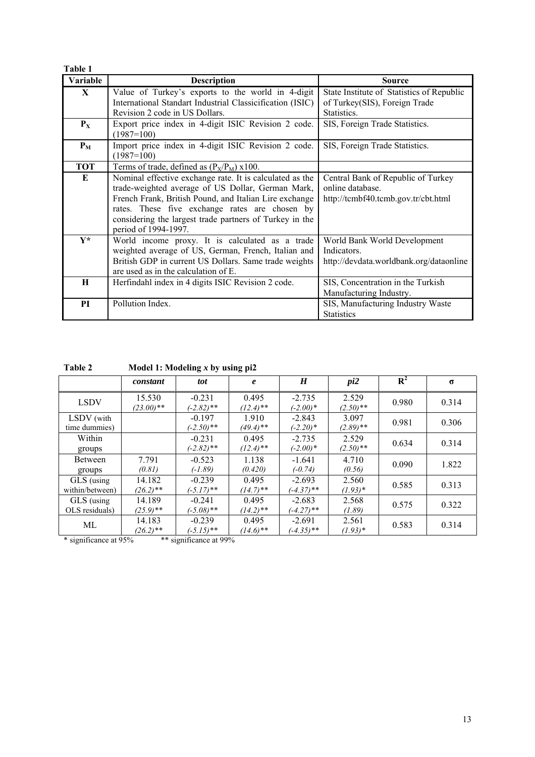| Table 1        |                                                                                                                                                                                                                                                                                                              |                                                                                               |
|----------------|--------------------------------------------------------------------------------------------------------------------------------------------------------------------------------------------------------------------------------------------------------------------------------------------------------------|-----------------------------------------------------------------------------------------------|
| Variable       | <b>Description</b>                                                                                                                                                                                                                                                                                           | <b>Source</b>                                                                                 |
| $\mathbf{X}$   | Value of Turkey's exports to the world in 4-digit<br>International Standart Industrial Classicification (ISIC)<br>Revision 2 code in US Dollars.                                                                                                                                                             | State Institute of Statistics of Republic<br>of Turkey(SIS), Foreign Trade<br>Statistics.     |
| $P_X$          | Export price index in 4-digit ISIC Revision 2 code.<br>$(1987=100)$                                                                                                                                                                                                                                          | SIS, Foreign Trade Statistics.                                                                |
| $P_M$          | Import price index in 4-digit ISIC Revision 2 code.<br>$(1987=100)$                                                                                                                                                                                                                                          | SIS, Foreign Trade Statistics.                                                                |
| <b>TOT</b>     | Terms of trade, defined as $(P_X/P_M)$ x100.                                                                                                                                                                                                                                                                 |                                                                                               |
| E              | Nominal effective exchange rate. It is calculated as the<br>trade-weighted average of US Dollar, German Mark,<br>French Frank, British Pound, and Italian Lire exchange<br>rates. These five exchange rates are chosen by<br>considering the largest trade partners of Turkey in the<br>period of 1994-1997. | Central Bank of Republic of Turkey<br>online database.<br>http://tcmbf40.tcmb.gov.tr/cbt.html |
| $\mathbf{Y}^*$ | World income proxy. It is calculated as a trade<br>weighted average of US, German, French, Italian and<br>British GDP in current US Dollars. Same trade weights<br>are used as in the calculation of E.                                                                                                      | World Bank World Development<br>Indicators.<br>http://devdata.worldbank.org/dataonline        |
| H              | Herfindahl index in 4 digits ISIC Revision 2 code.                                                                                                                                                                                                                                                           | SIS, Concentration in the Turkish<br>Manufacturing Industry.                                  |
| PI             | Pollution Index.                                                                                                                                                                                                                                                                                             | SIS, Manufacturing Industry Waste<br><b>Statistics</b>                                        |

### **Table 2 Model 1: Modeling** *x* **by using pi2**

|                               | constant               | tot                      | $\boldsymbol{e}$     | $\boldsymbol{H}$         | pi2                  | $R^2$ | $\sigma$ |
|-------------------------------|------------------------|--------------------------|----------------------|--------------------------|----------------------|-------|----------|
| <b>LSDV</b>                   | 15.530<br>$(23.00)$ ** | $-0.231$<br>$(-2.82)$ ** | 0.495<br>$(12.4)$ ** | $-2.735$<br>$(-2.00)*$   | 2.529<br>$(2.50)$ ** | 0.980 | 0.314    |
| LSDV (with<br>time dummies)   |                        | $-0.197$<br>$(-2.50)$ ** | 1.910<br>$(49.4)$ ** | $-2.843$<br>$(-2.20)$ *  | 3.097<br>$(2.89)$ ** | 0.981 | 0.306    |
| Within<br>groups              |                        | $-0.231$<br>$(-2.82)$ ** | 0.495<br>$(12.4)$ ** | $-2.735$<br>$(-2.00)*$   | 2.529<br>$(2.50)$ ** | 0.634 | 0.314    |
| Between<br>groups             | 7.791<br>(0.81)        | $-0.523$<br>$(-1.89)$    | 1.138<br>(0.420)     | $-1.641$<br>$(-0.74)$    | 4.710<br>(0.56)      | 0.090 | 1.822    |
| GLS (using<br>within/between) | 14.182<br>$(26.2)$ **  | $-0.239$<br>$(-5.17)$ ** | 0.495<br>$(14.7)$ ** | $-2.693$<br>$(-4.37)$ ** | 2.560<br>$(1.93)^*$  | 0.585 | 0.313    |
| GLS (using<br>OLS residuals)  | 14.189<br>$(25.9)$ **  | $-0.241$<br>$(-5.08)$ ** | 0.495<br>$(14.2)$ ** | $-2.683$<br>$(-4.27)$ ** | 2.568<br>(1.89)      | 0.575 | 0.322    |
| ML                            | 14.183<br>$(26.2)$ **  | $-0.239$<br>$(-5.15)$ ** | 0.495<br>$(14.6)$ ** | $-2.691$<br>$(-4.35)$ ** | 2.561<br>$(1.93)*$   | 0.583 | 0.314    |

\* significance at 95% \*\* significance at 99%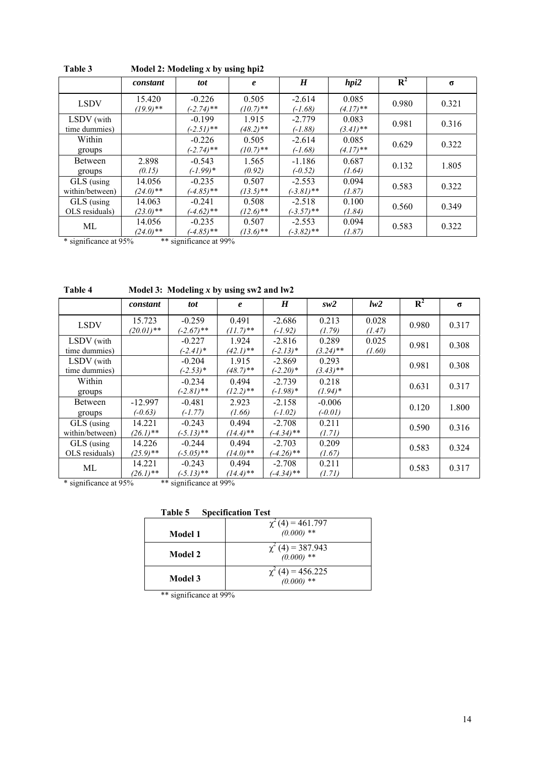|                               | constant              | tot                      | $\boldsymbol{e}$     | $\boldsymbol{H}$         | hpi2                 | $\overline{\mathbf{R}^2}$ | $\sigma$ |
|-------------------------------|-----------------------|--------------------------|----------------------|--------------------------|----------------------|---------------------------|----------|
| <b>LSDV</b>                   | 15.420<br>$(19.9)$ ** | $-0.226$<br>$(-2.74)$ ** | 0.505<br>$(10.7)$ ** | $-2.614$<br>$(-1.68)$    | 0.085<br>$(4.17)$ ** | 0.980                     | 0.321    |
| LSDV (with<br>time dummies)   |                       | $-0.199$<br>$(-2.51)$ ** | 1.915<br>$(48.2)$ ** | $-2.779$<br>$(-1.88)$    | 0.083<br>$(3.41)$ ** | 0.981                     | 0.316    |
| Within<br>groups              |                       | $-0.226$<br>$(-2.74)$ ** | 0.505<br>$(10.7)$ ** | $-2.614$<br>$(-1.68)$    | 0.085<br>$(4.17)$ ** | 0.629                     | 0.322    |
| Between<br>groups             | 2.898<br>(0.15)       | $-0.543$<br>$(-1.99)*$   | 1.565<br>(0.92)      | $-1.186$<br>$(-0.52)$    | 0.687<br>(1.64)      | 0.132                     | 1.805    |
| GLS (using<br>within/between) | 14.056<br>$(24.0)$ ** | $-0.235$<br>$(-4.85)$ ** | 0.507<br>$(13.5)$ ** | $-2.553$<br>$(-3.81)$ ** | 0.094<br>(1.87)      | 0.583                     | 0.322    |
| GLS (using<br>OLS residuals)  | 14.063<br>$(23.0)$ ** | $-0.241$<br>$(-4.62)$ ** | 0.508<br>$(12.6)$ ** | $-2.518$<br>$(-3.57)$ ** | 0.100<br>(1.84)      | 0.560                     | 0.349    |
| ML                            | 14.056<br>$(24.0)$ ** | $-0.235$<br>$(-4.85)$ ** | 0.507<br>$(13.6)$ ** | $-2.553$<br>$(-3.82)$ ** | 0.094<br>(1.87)      | 0.583                     | 0.322    |

**Table 3 Model 2: Modeling** *x* **by using hpi2** 

\* significance at 95% \*\* significance at 99%

| anıe |  |
|------|--|
|------|--|

Model 3: Modeling *x* by using sw2 and lw2

|                               | constant               | tot                      | $\boldsymbol{e}$     | $\boldsymbol{H}$         | sw2                   | lw2             | $\mathbf{R}^2$ | $\sigma$ |
|-------------------------------|------------------------|--------------------------|----------------------|--------------------------|-----------------------|-----------------|----------------|----------|
| <b>LSDV</b>                   | 15.723<br>$(20.01)$ ** | $-0.259$<br>$(-2.67)$ ** | 0.491<br>$(11.7)$ ** | $-2.686$<br>$(-1.92)$    | 0.213<br>(1.79)       | 0.028<br>(1.47) | 0.980          | 0.317    |
| LSDV (with<br>time dummies)   |                        | $-0.227$<br>$(-2.41)^*$  | 1.924<br>$(42.1)$ ** | $-2.816$<br>$(-2.13)*$   | 0.289<br>$(3.24)$ **  | 0.025<br>(1.60) | 0.981          | 0.308    |
| LSDV (with<br>time dummies)   |                        | $-0.204$<br>$(-2.53)*$   | 1.915<br>$(48.7)$ ** | $-2.869$<br>$(-2.20)$ *  | 0.293<br>$(3.43)$ **  |                 | 0.981          | 0.308    |
| Within<br>groups              |                        | $-0.234$<br>$(-2.81)$ ** | 0.494<br>$(12.2)$ ** | $-2.739$<br>$(-1.98)$ *  | 0.218<br>$(1.94)^*$   |                 | 0.631          | 0.317    |
| Between<br>groups             | $-12.997$<br>$(-0.63)$ | $-0.481$<br>$(-1.77)$    | 2.923<br>(1.66)      | $-2.158$<br>$(-1.02)$    | $-0.006$<br>$(-0.01)$ |                 | 0.120          | 1.800    |
| GLS (using<br>within/between) | 14.221<br>$(26.1)$ **  | $-0.243$<br>$(-5.13)$ ** | 0.494<br>$(14.4)$ ** | $-2.708$<br>$(-4.34)$ ** | 0.211<br>(1.71)       |                 | 0.590          | 0.316    |
| GLS (using<br>OLS residuals)  | 14.226<br>$(25.9)$ **  | $-0.244$<br>$(-5.05)$ ** | 0.494<br>$(14.0)$ ** | $-2.703$<br>$(-4.26)$ ** | 0.209<br>(1.67)       |                 | 0.583          | 0.324    |
| ML                            | 14.221<br>$(26.1)$ **  | $-0.243$<br>$(-5.13)$ ** | 0.494<br>$(14.4)$ ** | $-2.708$<br>$(-4.34)$ ** | 0.211<br>(1.71)       |                 | 0.583          | 0.317    |

\* significance at 95% \*\* significance at 99%

| Table 5 | <b>Specification Test</b> |
|---------|---------------------------|
|---------|---------------------------|

| Model 1 | $(4) = 461.797$<br>$(0.000)$ **        |
|---------|----------------------------------------|
| Model 2 | $\chi^2$ (4) = 387.943<br>$(0.000)$ ** |
| Model 3 | $\chi^2$ (4) = 456.225<br>$(0.000)$ ** |

\*\* significance at 99%